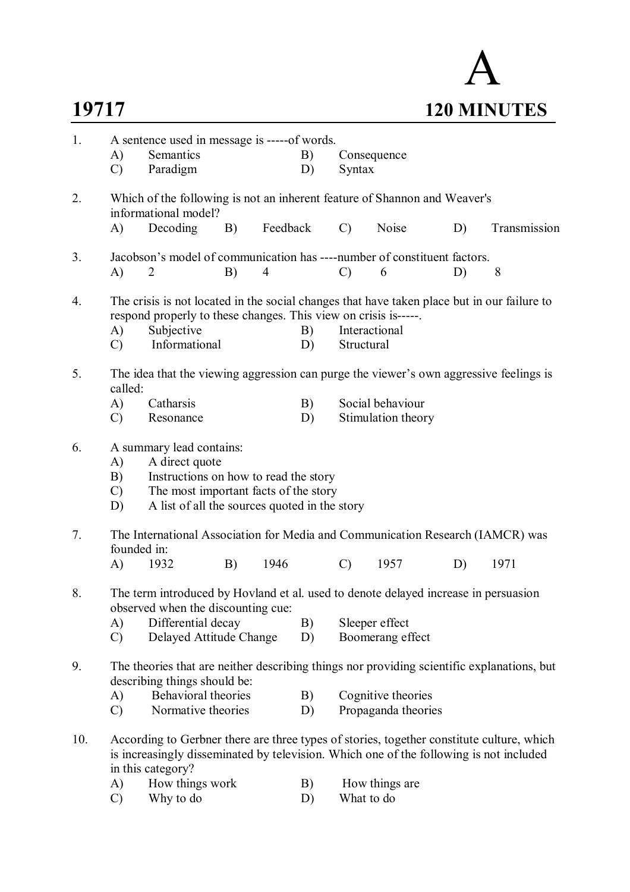

| 1.  | A)<br>$\mathcal{C}$             | A sentence used in message is -----of words.<br>Semantics<br>Paradigm                                                                                                                         |    |                | B)<br>D) | Syntax                      | Consequence                               |    |              |
|-----|---------------------------------|-----------------------------------------------------------------------------------------------------------------------------------------------------------------------------------------------|----|----------------|----------|-----------------------------|-------------------------------------------|----|--------------|
| 2.  |                                 | Which of the following is not an inherent feature of Shannon and Weaver's<br>informational model?                                                                                             |    |                |          |                             |                                           |    |              |
|     | A)                              | Decoding                                                                                                                                                                                      | B) | Feedback       |          | $\mathcal{C}$               | Noise                                     | D) | Transmission |
| 3.  | A)                              | Jacobson's model of communication has ----number of constituent factors.<br>2                                                                                                                 | B) | $\overline{4}$ |          | $\mathcal{C}$               | 6                                         | D) | 8            |
| 4.  | $\mathbf{A}$<br>$\mathcal{C}$   | The crisis is not located in the social changes that have taken place but in our failure to<br>respond properly to these changes. This view on crisis is-----.<br>Subjective<br>Informational |    |                | B)<br>D) | Interactional<br>Structural |                                           |    |              |
| 5.  | called:                         | The idea that the viewing aggression can purge the viewer's own aggressive feelings is                                                                                                        |    |                |          |                             |                                           |    |              |
|     | A)<br>$\mathcal{C}$             | Catharsis<br>Resonance                                                                                                                                                                        |    |                | B)<br>D) |                             | Social behaviour<br>Stimulation theory    |    |              |
| 6.  | A)<br>B)<br>$\mathcal{C}$<br>D) | A summary lead contains:<br>A direct quote<br>Instructions on how to read the story<br>The most important facts of the story<br>A list of all the sources quoted in the story                 |    |                |          |                             |                                           |    |              |
| 7.  | founded in:                     | The International Association for Media and Communication Research (IAMCR) was                                                                                                                |    |                |          |                             |                                           |    |              |
|     | A)                              | 1932                                                                                                                                                                                          | B) | 1946           |          | $\mathcal{C}$               | 1957                                      | D) | 1971         |
| 8.  |                                 | The term introduced by Hovland et al. used to denote delayed increase in persuasion<br>observed when the discounting cue:                                                                     |    |                |          |                             |                                           |    |              |
|     | A)<br>$\mathcal{C}$             | Differential decay<br>Delayed Attitude Change                                                                                                                                                 |    |                | B)<br>D) |                             | Sleeper effect<br>Boomerang effect        |    |              |
| 9.  |                                 | The theories that are neither describing things nor providing scientific explanations, but<br>describing things should be:                                                                    |    |                |          |                             |                                           |    |              |
|     | A)<br>$\mathcal{C}$             | <b>Behavioral theories</b><br>Normative theories                                                                                                                                              |    |                | B)<br>D) |                             | Cognitive theories<br>Propaganda theories |    |              |
| 10. |                                 | According to Gerbner there are three types of stories, together constitute culture, which<br>is increasingly disseminated by television. Which one of the following is not included           |    |                |          |                             |                                           |    |              |
|     | A)                              | in this category?<br>How things work                                                                                                                                                          |    |                | B)       |                             | How things are                            |    |              |
|     | $\mathcal{C}$                   | Why to do                                                                                                                                                                                     |    |                | D)       | What to do                  |                                           |    |              |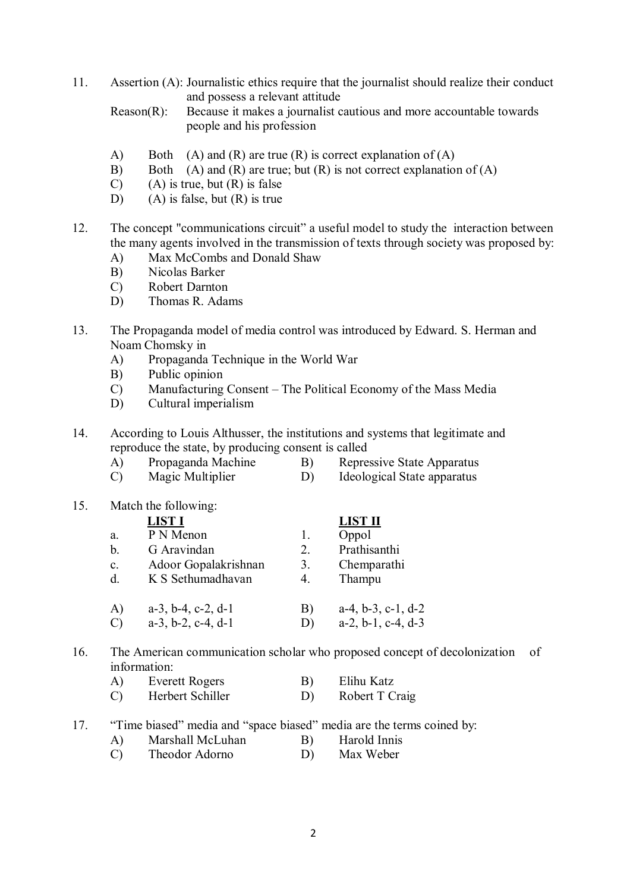11. Assertion (A): Journalistic ethics require that the journalist should realize their conduct and possess a relevant attitude

Reason(R): Because it makes a journalist cautious and more accountable towards people and his profession

- A) Both  $(A)$  and  $(R)$  are true  $(R)$  is correct explanation of  $(A)$
- B) Both  $(A)$  and  $(R)$  are true; but  $(R)$  is not correct explanation of  $(A)$
- $(C)$  (A) is true, but  $(R)$  is false
- D) (A) is false, but  $(R)$  is true
- 12. The concept "communications circuit" a useful model to study the interaction between the many agents involved in the transmission of texts through society was proposed by:
	- A) Max McCombs and Donald Shaw
	- B) Nicolas Barker
	- C) Robert Darnton
	- D) Thomas R. Adams
- 13. The Propaganda model of media control was introduced by Edward. S. Herman and Noam Chomsky in
	- A) Propaganda Technique in the World War
	- B) Public opinion
	- C) Manufacturing Consent The Political Economy of the Mass Media
	- D) Cultural imperialism
- 14. According to Louis Althusser, the institutions and systems that legitimate and reproduce the state, by producing consent is called
	- A) Propaganda Machine B) Repressive State Apparatus
	- C) Magic Multiplier D) Ideological State apparatus

| 15. |                | Match the following:          |    |                      |
|-----|----------------|-------------------------------|----|----------------------|
|     |                | <b>LIST I</b>                 |    | <b>LIST II</b>       |
|     | a.             | P N Menon                     | 1. | Oppol                |
|     | b.             | G Aravindan                   | 2. | Prathisanthi         |
|     | $\mathbf{c}$ . | Adoor Gopalakrishnan          | 3. | Chemparathi          |
|     | $d_{\cdot}$    | K S Sethumadhavan             | 4. | Thampu               |
|     | A)             | $a-3$ , $b-4$ , $c-2$ , $d-1$ | B) | $a-4, b-3, c-1, d-2$ |
|     | $\mathcal{C}$  | $a-3$ , $b-2$ , $c-4$ , $d-1$ | D) | $a-2, b-1, c-4, d-3$ |

## 16. The American communication scholar who proposed concept of decolonization of information:

| A)<br>Everett Rogers | Elihu Katz |
|----------------------|------------|
|----------------------|------------|

- C) Herbert Schiller D) Robert T Craig
- 17. "Time biased" media and "space biased" media are the terms coined by:
	- A) Marshall McLuhan B) Harold Innis
	- C) Theodor Adorno D) Max Weber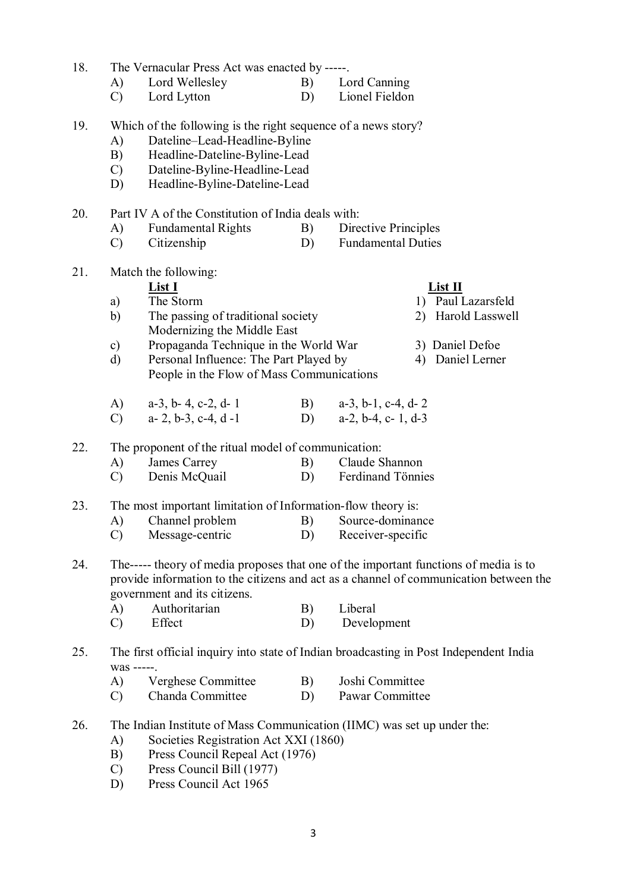| 18. |                                                                                                                                                                               | The Vernacular Press Act was enacted by -----.                                                          |    |                                                                                        |  |  |  |  |  |  |  |
|-----|-------------------------------------------------------------------------------------------------------------------------------------------------------------------------------|---------------------------------------------------------------------------------------------------------|----|----------------------------------------------------------------------------------------|--|--|--|--|--|--|--|
|     | A)                                                                                                                                                                            | Lord Wellesley                                                                                          | B) | Lord Canning                                                                           |  |  |  |  |  |  |  |
|     | $\mathcal{C}$                                                                                                                                                                 | Lord Lytton                                                                                             | D) | Lionel Fieldon                                                                         |  |  |  |  |  |  |  |
| 19. | Which of the following is the right sequence of a news story?<br>Dateline-Lead-Headline-Byline<br>A)                                                                          |                                                                                                         |    |                                                                                        |  |  |  |  |  |  |  |
|     | B)                                                                                                                                                                            | Headline-Dateline-Byline-Lead                                                                           |    |                                                                                        |  |  |  |  |  |  |  |
|     | $\mathcal{C}$ )                                                                                                                                                               | Dateline-Byline-Headline-Lead                                                                           |    |                                                                                        |  |  |  |  |  |  |  |
|     | D)                                                                                                                                                                            | Headline-Byline-Dateline-Lead                                                                           |    |                                                                                        |  |  |  |  |  |  |  |
| 20. |                                                                                                                                                                               | Part IV A of the Constitution of India deals with:                                                      |    |                                                                                        |  |  |  |  |  |  |  |
|     | A)                                                                                                                                                                            | <b>Fundamental Rights</b>                                                                               | B) | Directive Principles                                                                   |  |  |  |  |  |  |  |
|     | $\mathcal{C}$                                                                                                                                                                 | Citizenship                                                                                             | D) | <b>Fundamental Duties</b>                                                              |  |  |  |  |  |  |  |
| 21. |                                                                                                                                                                               | Match the following:                                                                                    |    |                                                                                        |  |  |  |  |  |  |  |
|     |                                                                                                                                                                               | List I                                                                                                  |    | List II                                                                                |  |  |  |  |  |  |  |
|     | a)                                                                                                                                                                            | The Storm                                                                                               |    | 1) Paul Lazarsfeld                                                                     |  |  |  |  |  |  |  |
|     | b)                                                                                                                                                                            | The passing of traditional society<br>Modernizing the Middle East                                       |    | 2) Harold Lasswell                                                                     |  |  |  |  |  |  |  |
|     | $\mathbf{c})$                                                                                                                                                                 | Propaganda Technique in the World War                                                                   |    | 3) Daniel Defoe                                                                        |  |  |  |  |  |  |  |
|     | d)                                                                                                                                                                            | Personal Influence: The Part Played by<br>4) Daniel Lerner<br>People in the Flow of Mass Communications |    |                                                                                        |  |  |  |  |  |  |  |
|     | $\bf{A}$                                                                                                                                                                      | $a-3$ , $b-4$ , $c-2$ , $d-1$                                                                           |    | B) $a-3$ , b-1, c-4, d-2                                                               |  |  |  |  |  |  |  |
|     | $\mathcal{C}$                                                                                                                                                                 | $a-2, b-3, c-4, d-1$                                                                                    | D) | $a-2$ , $b-4$ , $c-1$ , $d-3$                                                          |  |  |  |  |  |  |  |
| 22. |                                                                                                                                                                               | The proponent of the ritual model of communication:                                                     |    |                                                                                        |  |  |  |  |  |  |  |
|     | A)                                                                                                                                                                            | James Carrey                                                                                            | B) | Claude Shannon                                                                         |  |  |  |  |  |  |  |
|     | $\mathcal{C}$                                                                                                                                                                 | Denis McQuail                                                                                           | D) | Ferdinand Tönnies                                                                      |  |  |  |  |  |  |  |
| 23. |                                                                                                                                                                               | The most important limitation of Information-flow theory is:                                            |    |                                                                                        |  |  |  |  |  |  |  |
|     | A)                                                                                                                                                                            | Channel problem                                                                                         | B) | Source-dominance                                                                       |  |  |  |  |  |  |  |
|     | $\mathcal{C}$                                                                                                                                                                 | Message-centric                                                                                         |    | D) Receiver-specific                                                                   |  |  |  |  |  |  |  |
| 24. | The----- theory of media proposes that one of the important functions of media is to<br>provide information to the citizens and act as a channel of communication between the |                                                                                                         |    |                                                                                        |  |  |  |  |  |  |  |
|     |                                                                                                                                                                               | government and its citizens.                                                                            |    |                                                                                        |  |  |  |  |  |  |  |
|     | A)                                                                                                                                                                            | Authoritarian                                                                                           | B) | Liberal                                                                                |  |  |  |  |  |  |  |
|     | $\mathcal{C}$                                                                                                                                                                 | Effect                                                                                                  | D) | Development                                                                            |  |  |  |  |  |  |  |
| 25. | was -----                                                                                                                                                                     |                                                                                                         |    | The first official inquiry into state of Indian broadcasting in Post Independent India |  |  |  |  |  |  |  |
|     | A)                                                                                                                                                                            | Verghese Committee                                                                                      | B) | Joshi Committee                                                                        |  |  |  |  |  |  |  |
|     | C)                                                                                                                                                                            | Chanda Committee                                                                                        | D) | Pawar Committee                                                                        |  |  |  |  |  |  |  |
| 26. |                                                                                                                                                                               |                                                                                                         |    | The Indian Institute of Mass Communication (IIMC) was set up under the:                |  |  |  |  |  |  |  |

- A) Societies Registration Act XXI (1860)
- B) Press Council Repeal Act (1976)
- C) Press Council Bill (1977)
- D) Press Council Act 1965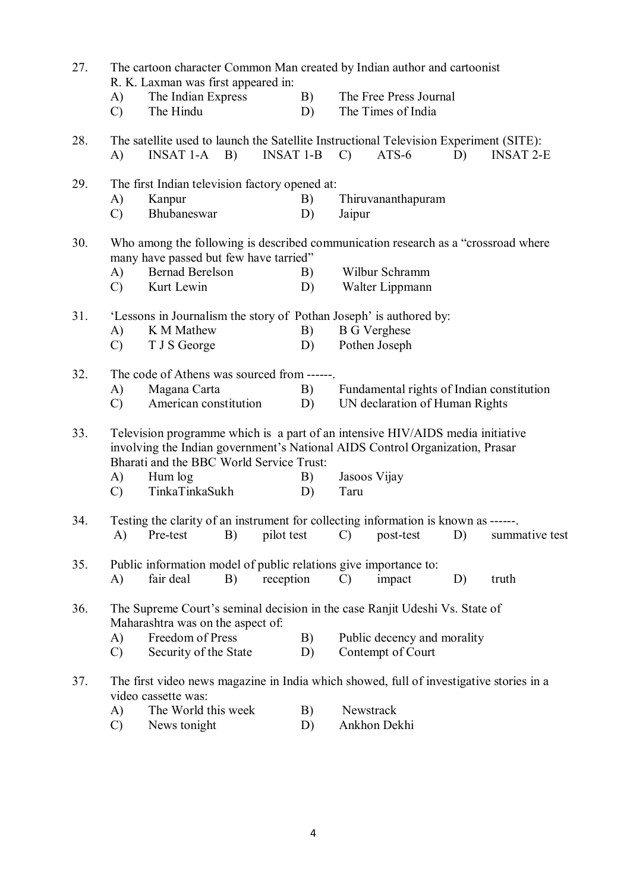| 27. | The cartoon character Common Man created by Indian author and cartoonist<br>R. K. Laxman was first appeared in: |                                                                                                                                                                                                            |                  |                                              |    |                  |  |  |  |  |
|-----|-----------------------------------------------------------------------------------------------------------------|------------------------------------------------------------------------------------------------------------------------------------------------------------------------------------------------------------|------------------|----------------------------------------------|----|------------------|--|--|--|--|
|     | A)<br>$\mathcal{C}$                                                                                             | The Indian Express<br>The Hindu                                                                                                                                                                            | B)<br>D)         | The Free Press Journal<br>The Times of India |    |                  |  |  |  |  |
| 28. | A)                                                                                                              | The satellite used to launch the Satellite Instructional Television Experiment (SITE):<br>$INSAT 1-A$ B)                                                                                                   | <b>INSAT 1-B</b> | $ATS-6$<br>$\mathcal{C}$                     | D) | <b>INSAT 2-E</b> |  |  |  |  |
| 29. |                                                                                                                 | The first Indian television factory opened at:                                                                                                                                                             |                  |                                              |    |                  |  |  |  |  |
|     | A)                                                                                                              | Kanpur                                                                                                                                                                                                     | B)               | Thiruvananthapuram                           |    |                  |  |  |  |  |
|     | $\mathcal{C}$                                                                                                   | Bhubaneswar                                                                                                                                                                                                | D)               | Jaipur                                       |    |                  |  |  |  |  |
| 30. |                                                                                                                 | Who among the following is described communication research as a "crossroad where<br>many have passed but few have tarried"                                                                                |                  |                                              |    |                  |  |  |  |  |
|     | A)                                                                                                              | <b>Bernad Berelson</b>                                                                                                                                                                                     | B)               | Wilbur Schramm                               |    |                  |  |  |  |  |
|     | $\mathcal{C}$                                                                                                   | Kurt Lewin                                                                                                                                                                                                 | D)               | Walter Lippmann                              |    |                  |  |  |  |  |
| 31. |                                                                                                                 | 'Lessons in Journalism the story of Pothan Joseph' is authored by:                                                                                                                                         |                  |                                              |    |                  |  |  |  |  |
|     | A)                                                                                                              | K M Mathew                                                                                                                                                                                                 | B)               | <b>B</b> G Verghese                          |    |                  |  |  |  |  |
|     | $\mathcal{C}$                                                                                                   | T J S George                                                                                                                                                                                               | D)               | Pothen Joseph                                |    |                  |  |  |  |  |
| 32. |                                                                                                                 | The code of Athens was sourced from ------.                                                                                                                                                                |                  |                                              |    |                  |  |  |  |  |
|     | A)                                                                                                              | Magana Carta                                                                                                                                                                                               | B)               | Fundamental rights of Indian constitution    |    |                  |  |  |  |  |
|     | $\mathcal{C}$                                                                                                   | American constitution                                                                                                                                                                                      | D)               | UN declaration of Human Rights               |    |                  |  |  |  |  |
| 33. |                                                                                                                 | Television programme which is a part of an intensive HIV/AIDS media initiative<br>involving the Indian government's National AIDS Control Organization, Prasar<br>Bharati and the BBC World Service Trust: |                  |                                              |    |                  |  |  |  |  |
|     | A)                                                                                                              | Hum log                                                                                                                                                                                                    | B)               | Jasoos Vijay                                 |    |                  |  |  |  |  |
|     | $\mathcal{C}$                                                                                                   | TinkaTinkaSukh                                                                                                                                                                                             | D)               | Taru                                         |    |                  |  |  |  |  |
| 34. |                                                                                                                 | Testing the clarity of an instrument for collecting information is known as ------.                                                                                                                        |                  |                                              |    |                  |  |  |  |  |
|     |                                                                                                                 | A) Pre-test B) pilot test C) post-test D) summative test                                                                                                                                                   |                  |                                              |    |                  |  |  |  |  |
| 35. |                                                                                                                 | Public information model of public relations give importance to:                                                                                                                                           |                  |                                              |    |                  |  |  |  |  |
|     | A)                                                                                                              | fair deal<br>B)                                                                                                                                                                                            | reception        | impact<br>$\mathcal{C}$                      | D) | truth            |  |  |  |  |
| 36. |                                                                                                                 | The Supreme Court's seminal decision in the case Ranjit Udeshi Vs. State of<br>Maharashtra was on the aspect of:                                                                                           |                  |                                              |    |                  |  |  |  |  |
|     | A)                                                                                                              | Freedom of Press                                                                                                                                                                                           | B)               | Public decency and morality                  |    |                  |  |  |  |  |
|     | $\mathcal{C}$                                                                                                   | Security of the State                                                                                                                                                                                      | D)               | Contempt of Court                            |    |                  |  |  |  |  |
| 37. |                                                                                                                 | The first video news magazine in India which showed, full of investigative stories in a<br>video cassette was:                                                                                             |                  |                                              |    |                  |  |  |  |  |
|     | A)                                                                                                              | The World this week                                                                                                                                                                                        | B)               | Newstrack                                    |    |                  |  |  |  |  |
|     | $\mathcal{C}$                                                                                                   | News tonight                                                                                                                                                                                               | D)               | Ankhon Dekhi                                 |    |                  |  |  |  |  |

4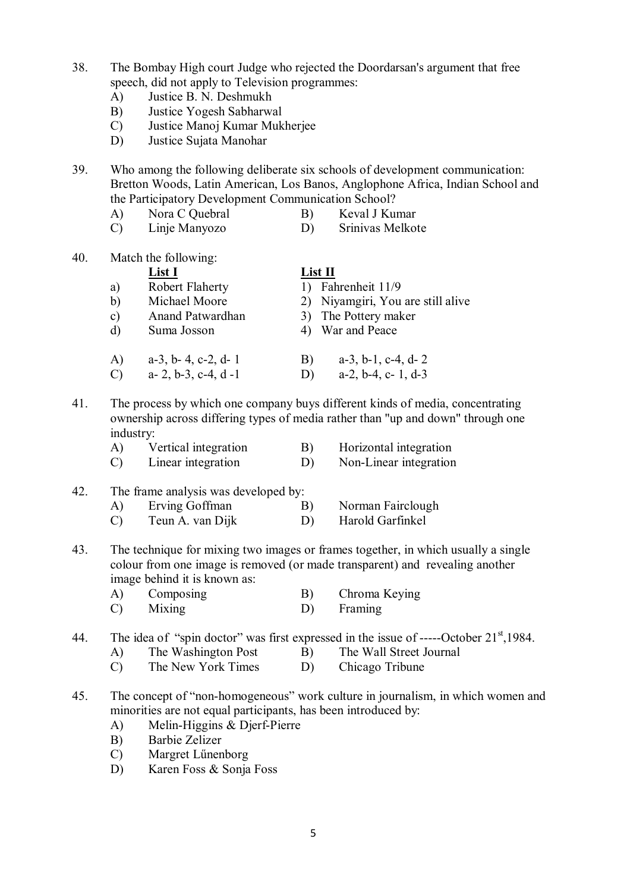- 38. The Bombay High court Judge who rejected the Doordarsan's argument that free speech, did not apply to Television programmes:
	- A) Justice B. N. Deshmukh
	- B) Justice Yogesh Sabharwal
	- C) Justice Manoj Kumar Mukherjee
	- D) Justice Sujata Manohar

39. Who among the following deliberate six schools of development communication: Bretton Woods, Latin American, Los Banos, Anglophone Africa, Indian School and the Participatory Development Communication School?

- A) Nora C Quebral B) Keval J Kumar
- C) Linje Manyozo D) Srinivas Melkote

40. Match the following:

|                         | List I                        | List II                             |
|-------------------------|-------------------------------|-------------------------------------|
| a)                      | Robert Flaherty               | Fahrenheit 11/9                     |
| b)                      | Michael Moore                 | 2) Niyamgiri, You are still alive   |
| c)                      | Anand Patwardhan              | 3) The Pottery maker                |
| d)                      | Suma Josson                   | 4) War and Peace                    |
| A)                      | $a-3$ , $b-4$ , $c-2$ , $d-1$ | $a-3$ , $b-1$ , $c-4$ , $d-2$<br>B) |
| $\overline{\mathrm{C}}$ | $a-2, b-3, c-4, d-1$          | $a-2$ , $b-4$ , $c-1$ , $d-3$<br>D) |

- 41. The process by which one company buys different kinds of media, concentrating ownership across differing types of media rather than "up and down" through one industry:
	- A) Vertical integration B) Horizontal integration
	- C) Linear integration D) Non-Linear integration

### 42. The frame analysis was developed by:

| A) | Erving Goffman |  | Norman Fairclough |
|----|----------------|--|-------------------|
|----|----------------|--|-------------------|

- C) Teun A. van Dijk D) Harold Garfinkel
- 43. The technique for mixing two images or frames together, in which usually a single colour from one image is removed (or made transparent) and revealing another image behind it is known as:
	- A) Composing B) Chroma Keying
	- C) Mixing D) Framing

# 44. The idea of "spin doctor" was first expressed in the issue of -----October 21<sup>st</sup>,1984.

- A) The Washington Post B) The Wall Street Journal
- C) The New York Times D) Chicago Tribune
- 45. The concept of "non-homogeneous" work culture in journalism, in which women and minorities are not equal participants, has been introduced by:
	- A) Melin-Higgins & Djerf-Pierre
	- B) Barbie Zelizer
	- C) Margret Lűnenborg
	- D) Karen Foss & Sonja Foss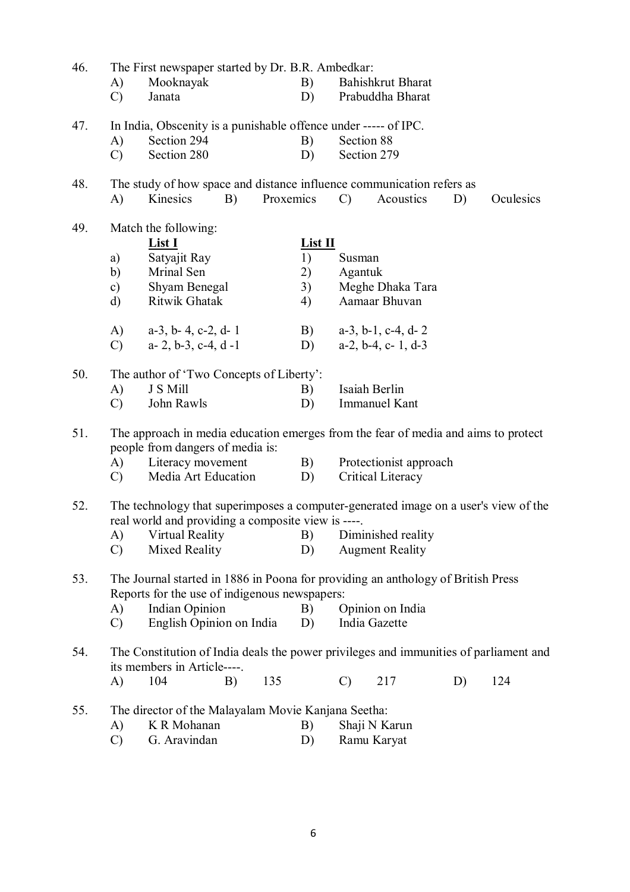| 46. | The First newspaper started by Dr. B.R. Ambedkar:                                     |                                                                                                                                                                                       |    |           |           |                  |                               |    |           |  |
|-----|---------------------------------------------------------------------------------------|---------------------------------------------------------------------------------------------------------------------------------------------------------------------------------------|----|-----------|-----------|------------------|-------------------------------|----|-----------|--|
|     | A)                                                                                    | Mooknayak                                                                                                                                                                             |    |           | B)        |                  | Bahishkrut Bharat             |    |           |  |
|     | $\mathcal{C}$                                                                         | Janata                                                                                                                                                                                |    |           | D)        |                  | Prabuddha Bharat              |    |           |  |
| 47. | In India, Obscenity is a punishable offence under ----- of IPC.                       |                                                                                                                                                                                       |    |           |           |                  |                               |    |           |  |
|     | A)                                                                                    | Section 294                                                                                                                                                                           |    |           | B)        | Section 88       |                               |    |           |  |
|     | $\mathcal{C}$                                                                         | Section 280                                                                                                                                                                           |    |           | D)        | Section 279      |                               |    |           |  |
| 48. |                                                                                       | The study of how space and distance influence communication refers as                                                                                                                 |    |           |           |                  |                               |    |           |  |
|     | A)                                                                                    | Kinesics                                                                                                                                                                              | B) | Proxemics |           | $\mathcal{C}$    | Acoustics                     | D) | Oculesics |  |
| 49. |                                                                                       | Match the following:<br>List I                                                                                                                                                        |    |           | $List II$ |                  |                               |    |           |  |
|     |                                                                                       |                                                                                                                                                                                       |    |           |           |                  |                               |    |           |  |
|     | a)                                                                                    | Satyajit Ray                                                                                                                                                                          |    |           | 1)        | Susman           |                               |    |           |  |
|     | b)                                                                                    | Mrinal Sen                                                                                                                                                                            |    |           | 2)        | Agantuk          |                               |    |           |  |
|     | $\mathbf{c})$                                                                         | Shyam Benegal                                                                                                                                                                         |    |           | 3)        |                  | Meghe Dhaka Tara              |    |           |  |
|     | $\rm d$                                                                               | Ritwik Ghatak                                                                                                                                                                         |    |           | 4)        |                  | Aamaar Bhuvan                 |    |           |  |
|     | A)                                                                                    | $a-3$ , $b-4$ , $c-2$ , $d-1$                                                                                                                                                         |    |           | B)        |                  | $a-3$ , $b-1$ , $c-4$ , $d-2$ |    |           |  |
|     | $\mathcal{C}$                                                                         | $a-2, b-3, c-4, d-1$                                                                                                                                                                  |    |           | D)        |                  | $a-2$ , $b-4$ , $c-1$ , $d-3$ |    |           |  |
| 50. |                                                                                       | The author of 'Two Concepts of Liberty':                                                                                                                                              |    |           |           |                  |                               |    |           |  |
|     | A)                                                                                    | J S Mill                                                                                                                                                                              |    |           | B)        | Isaiah Berlin    |                               |    |           |  |
|     | $\mathcal{C}$                                                                         | John Rawls                                                                                                                                                                            |    |           | D)        |                  | <b>Immanuel Kant</b>          |    |           |  |
| 51. |                                                                                       | The approach in media education emerges from the fear of media and aims to protect<br>people from dangers of media is:                                                                |    |           |           |                  |                               |    |           |  |
|     | A)                                                                                    | Literacy movement                                                                                                                                                                     |    |           | B)        |                  | Protectionist approach        |    |           |  |
|     | $\mathcal{C}$ )                                                                       | Media Art Education                                                                                                                                                                   |    |           | D)        |                  | Critical Literacy             |    |           |  |
| 52. |                                                                                       | The technology that superimposes a computer-generated image on a user's view of the<br>real world and providing a composite view is ----.<br>A) Virtual Reality B) Diminished reality |    |           |           |                  |                               |    |           |  |
|     | $\mathcal{C}$                                                                         | Mixed Reality                                                                                                                                                                         |    |           | D)        |                  | <b>Augment Reality</b>        |    |           |  |
| 53. |                                                                                       | The Journal started in 1886 in Poona for providing an anthology of British Press<br>Reports for the use of indigenous newspapers:                                                     |    |           |           |                  |                               |    |           |  |
|     | A)                                                                                    | <b>Indian Opinion</b>                                                                                                                                                                 |    |           | B)        | Opinion on India |                               |    |           |  |
|     | $\mathcal{C}$                                                                         | English Opinion on India                                                                                                                                                              |    |           | D)        |                  | India Gazette                 |    |           |  |
| 54. | The Constitution of India deals the power privileges and immunities of parliament and |                                                                                                                                                                                       |    |           |           |                  |                               |    |           |  |
|     |                                                                                       | its members in Article----.                                                                                                                                                           |    |           |           |                  |                               |    |           |  |
|     | A)                                                                                    | 104                                                                                                                                                                                   | B) | 135       |           | $\mathcal{C}$    | 217                           | D) | 124       |  |
| 55. |                                                                                       | The director of the Malayalam Movie Kanjana Seetha:                                                                                                                                   |    |           |           |                  |                               |    |           |  |
|     | A)                                                                                    | K R Mohanan                                                                                                                                                                           |    |           | B)        |                  | Shaji N Karun                 |    |           |  |
|     | $\mathcal{C}$                                                                         | G. Aravindan                                                                                                                                                                          |    |           | D)        |                  | Ramu Karyat                   |    |           |  |
|     |                                                                                       |                                                                                                                                                                                       |    |           |           |                  |                               |    |           |  |
|     |                                                                                       |                                                                                                                                                                                       |    |           |           |                  |                               |    |           |  |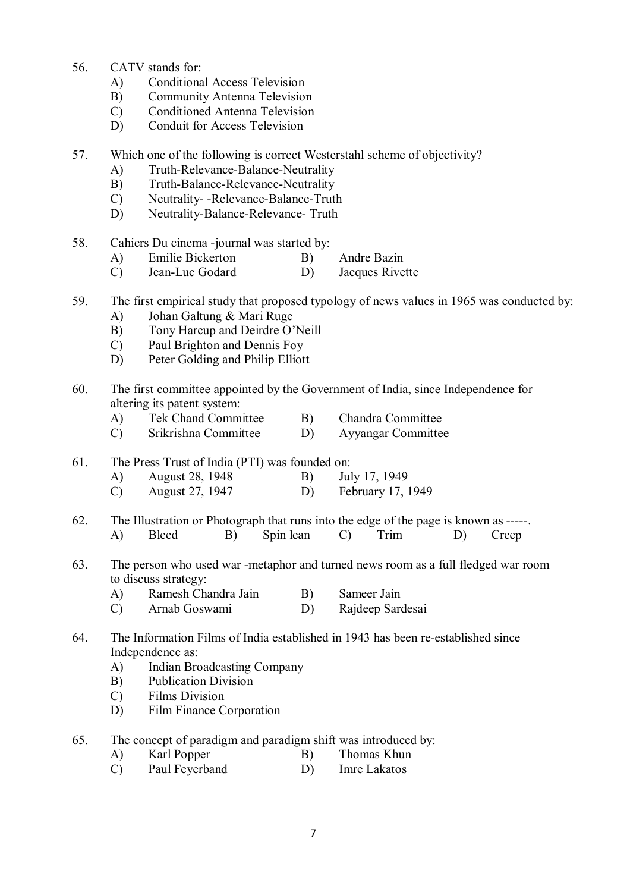- 56. CATV stands for:
	- A) Conditional Access Television
	- B) Community Antenna Television
	- C) Conditioned Antenna Television
	- D) Conduit for Access Television
- 57. Which one of the following is correct Westerstahl scheme of objectivity?
	- A) Truth-Relevance-Balance-Neutrality
	- B) Truth-Balance-Relevance-Neutrality
	- C) Neutrality- -Relevance-Balance-Truth
	- D) Neutrality-Balance-Relevance- Truth
- 58. Cahiers Du cinema -journal was started by:
	- A) Emilie Bickerton B) Andre Bazin
	- C) Jean-Luc Godard D) Jacques Rivette
- 59. The first empirical study that proposed typology of news values in 1965 was conducted by:
	- A) Johan Galtung & Mari Ruge
	- B) Tony Harcup and Deirdre O'Neill
	- C) Paul Brighton and Dennis Foy
	- D) Peter Golding and Philip Elliott
- 60. The first committee appointed by the Government of India, since Independence for altering its patent system:
	- A) Tek Chand Committee B) Chandra Committee
	- C) Srikrishna Committee D) Ayyangar Committee
- 61. The Press Trust of India (PTI) was founded on:
	- A) August 28, 1948 B) July 17, 1949
	- C) August 27, 1947 D) February 17, 1949
- 62. The Illustration or Photograph that runs into the edge of the page is known as -----. A) Bleed B) Spin lean C) Trim D) Creep
- 63. The person who used war -metaphor and turned news room as a full fledged war room to discuss strategy:
	- A) Ramesh Chandra Jain B) Sameer Jain
	- C) Arnab Goswami D) Rajdeep Sardesai
- 64. The Information Films of India established in 1943 has been re-established since Independence as:
	- A) Indian Broadcasting Company
	- B) Publication Division
	- C) Films Division
	- D) Film Finance Corporation
- 65. The concept of paradigm and paradigm shift was introduced by:
	- A) Karl Popper B) Thomas Khun
		- C) Paul Feyerband D) Imre Lakatos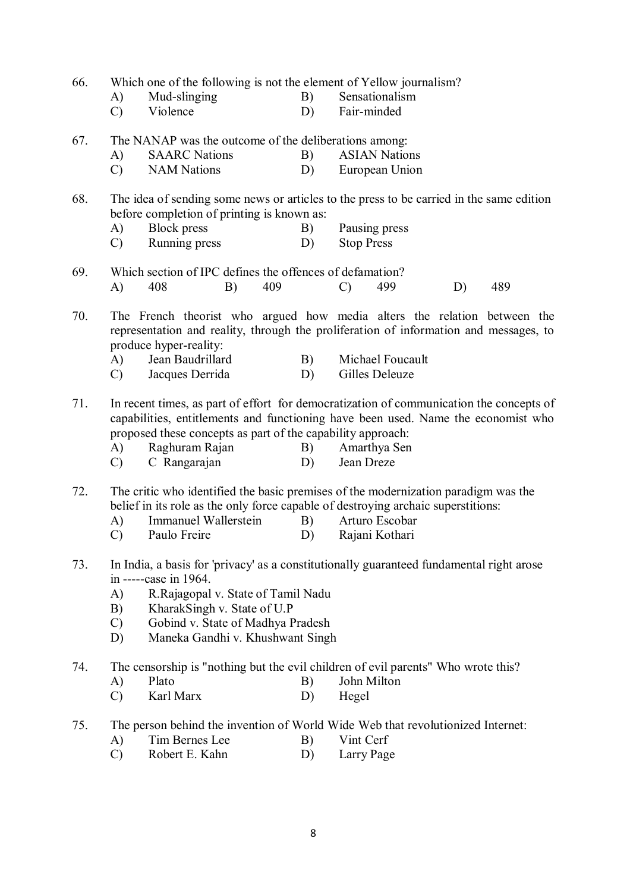66. Which one of the following is not the element of Yellow journalism?

- A) Mud-slinging B) Sensationalism<br>
C) Violence D) Fair-minded
- C) Violence D) Fair-minded
- 67. The NANAP was the outcome of the deliberations among:
	- A) SAARC Nations B) ASIAN Nations
	- C) NAM Nations D) European Union

68. The idea of sending some news or articles to the press to be carried in the same edition before completion of printing is known as:

- A) Block press B) Pausing press
- C) Running press D) Stop Press
- 69. Which section of IPC defines the offences of defamation? A) 408 B) 409 C) 499 D) 489

70. The French theorist who argued how media alters the relation between the representation and reality, through the proliferation of information and messages, to produce hyper-reality:

- A) Jean Baudrillard B) Michael Foucault
- C) Jacques Derrida D) Gilles Deleuze

71. In recent times, as part of effort for democratization of communication the concepts of capabilities, entitlements and functioning have been used. Name the economist who proposed these concepts as part of the capability approach:

- A) Raghuram Rajan B) Amarthya Sen
- C) C Rangarajan D) Jean Dreze
- 72. The critic who identified the basic premises of the modernization paradigm was the belief in its role as the only force capable of destroying archaic superstitions:<br>A) Immanuel Wallerstein B) Arturo Escobar
	- A) Immanuel Wallerstein B)
	- C) Paulo Freire D) Rajani Kothari
- 73. In India, a basis for 'privacy' as a constitutionally guaranteed fundamental right arose in -----case in 1964.
	- A) R.Rajagopal v. State of Tamil Nadu
	- B) KharakSingh v. State of U.P
	- C) Gobind v. State of Madhya Pradesh
	- D) Maneka Gandhi v. Khushwant Singh
- 74. The censorship is "nothing but the evil children of evil parents" Who wrote this?
	- A) Plato B) John Milton
	- C) Karl Marx D) Hegel
- 75. The person behind the invention of World Wide Web that revolutionized Internet:
	- A) Tim Bernes Lee B) Vint Cerf
	- C) Robert E. Kahn D) Larry Page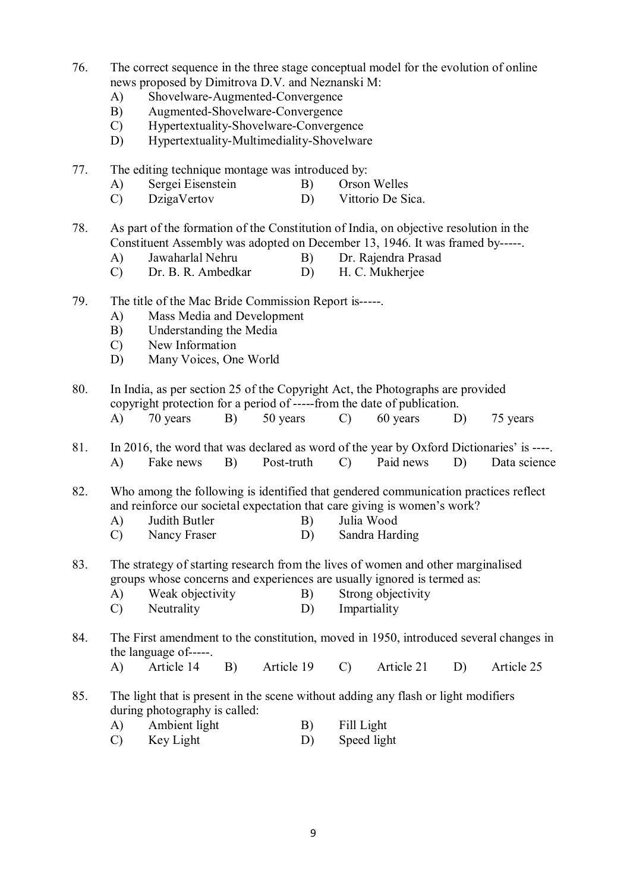- 76. The correct sequence in the three stage conceptual model for the evolution of online news proposed by Dimitrova D.V. and Neznanski M:
	- A) Shovelware-Augmented-Convergence
	- B) Augmented-Shovelware-Convergence
	- C) Hypertextuality-Shovelware-Convergence
	- D) Hypertextuality-Multimediality-Shovelware
- 77. The editing technique montage was introduced by:
	- A) Sergei Eisenstein B) Orson Welles
	- C) DzigaVertov D) Vittorio De Sica.

78. As part of the formation of the Constitution of India, on objective resolution in the Constituent Assembly was adopted on December 13, 1946. It was framed by-----.

- A) Jawaharlal Nehru B) Dr. Rajendra Prasad
- C) Dr. B. R. Ambedkar D) H. C. Mukherjee
- 79. The title of the Mac Bride Commission Report is-----.
	- A) Mass Media and Development
	- B) Understanding the Media<br>C) New Information
	- New Information
	- D) Many Voices, One World
- 80. In India, as per section 25 of the Copyright Act, the Photographs are provided copyright protection for a period of -----from the date of publication. A) 70 years B) 50 years C) 60 years D) 75 years
- 81. In 2016, the word that was declared as word of the year by Oxford Dictionaries' is ----. A) Fake news B) Post-truth C) Paid news D) Data science

82. Who among the following is identified that gendered communication practices reflect and reinforce our societal expectation that care giving is women's work?

- A) Judith Butler B) Julia Wood
- C) Nancy Fraser D) Sandra Harding
- 83. The strategy of starting research from the lives of women and other marginalised groups whose concerns and experiences are usually ignored is termed as:
	- A) Weak objectivity B) Strong objectivity
	- C) Neutrality D) Impartiality
- 84. The First amendment to the constitution, moved in 1950, introduced several changes in the language of-----.
	- A) Article 14 B) Article 19 C) Article 21 D) Article 25
- 85. The light that is present in the scene without adding any flash or light modifiers during photography is called:
	- A) Ambient light B) Fill Light
	- C) Key Light D) Speed light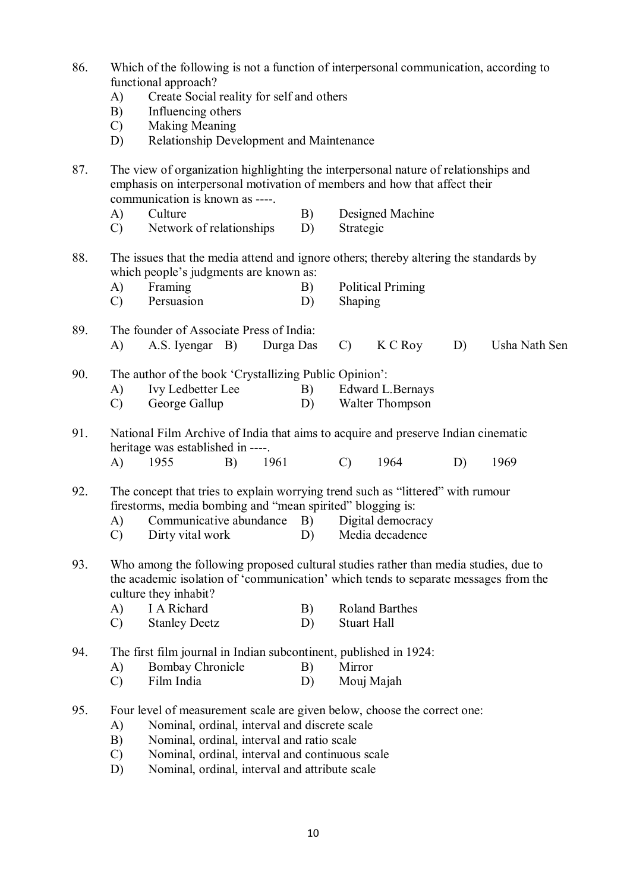- 86. Which of the following is not a function of interpersonal communication, according to functional approach?
	- A) Create Social reality for self and others
	- B) Influencing others
	- C) Making Meaning
	- D) Relationship Development and Maintenance

87. The view of organization highlighting the interpersonal nature of relationships and emphasis on interpersonal motivation of members and how that affect their communication is known as ----.

- A) Culture B) Designed Machine
- C) Network of relationships D) Strategic
- 88. The issues that the media attend and ignore others; thereby altering the standards by which people's judgments are known as:
	- A) Framing B) Political Priming
	- C) Persuasion D) Shaping
- 89. The founder of Associate Press of India: A) A.S. Iyengar B) Durga Das C) K C Roy D) Usha Nath Sen
- 90. The author of the book 'Crystallizing Public Opinion': A) Ivy Ledbetter Lee B) Edward L.Bernays
	-
	- C) George Gallup D) Walter Thompson

91. National Film Archive of India that aims to acquire and preserve Indian cinematic heritage was established in ----.

- A) 1955 B) 1961 C) 1964 D) 1969
- 92. The concept that tries to explain worrying trend such as "littered" with rumour firestorms, media bombing and "mean spirited" blogging is:
	- A) Communicative abundance B) Digital democracy
	- C) Dirty vital work D) Media decadence
- 93. Who among the following proposed cultural studies rather than media studies, due to the academic isolation of 'communication' which tends to separate messages from the culture they inhabit?
	- A) I A Richard B) Roland Barthes<br>
	C) Stanley Deetz D) Stuart Hall
	- Stanley Deetz
- 94. The first film journal in Indian subcontinent, published in 1924:
	- A) Bombay Chronicle B) Mirror
	- C) Film India D) Mouj Majah
- 95. Four level of measurement scale are given below, choose the correct one:
	- A) Nominal, ordinal, interval and discrete scale
	- B) Nominal, ordinal, interval and ratio scale
	- C) Nominal, ordinal, interval and continuous scale
	- D) Nominal, ordinal, interval and attribute scale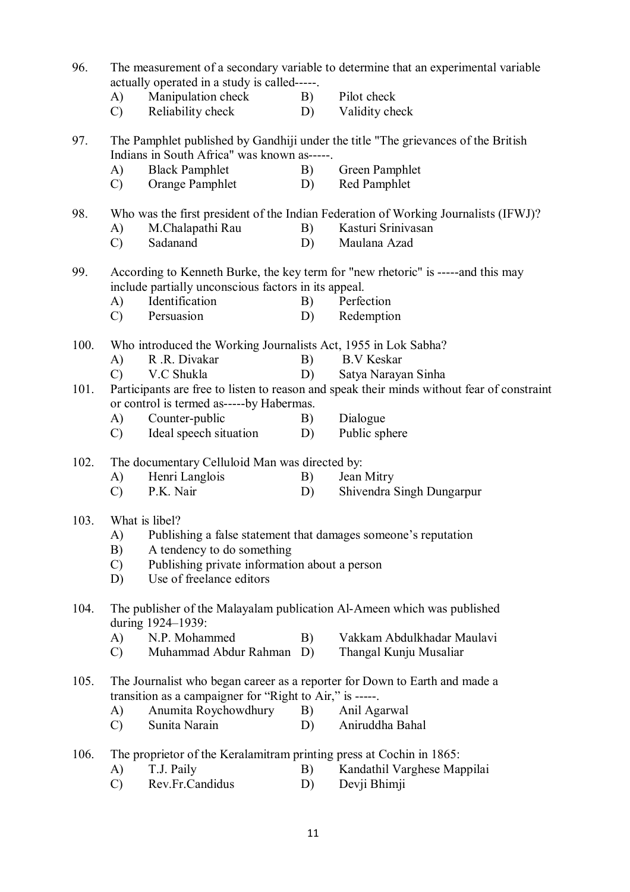| 96.  | The measurement of a secondary variable to determine that an experimental variable<br>actually operated in a study is called-----.                                       |                                                                      |          |                             |  |  |  |  |  |
|------|--------------------------------------------------------------------------------------------------------------------------------------------------------------------------|----------------------------------------------------------------------|----------|-----------------------------|--|--|--|--|--|
|      | A)                                                                                                                                                                       | Manipulation check                                                   | B)       | Pilot check                 |  |  |  |  |  |
|      | $\mathcal{C}$                                                                                                                                                            | Reliability check                                                    | D)       | Validity check              |  |  |  |  |  |
| 97.  | The Pamphlet published by Gandhiji under the title "The grievances of the British<br>Indians in South Africa" was known as-----.                                         |                                                                      |          |                             |  |  |  |  |  |
|      | A)                                                                                                                                                                       | <b>Black Pamphlet</b>                                                | B)       | Green Pamphlet              |  |  |  |  |  |
|      | $\mathcal{C}$                                                                                                                                                            | Orange Pamphlet                                                      | D)       | Red Pamphlet                |  |  |  |  |  |
| 98.  | Who was the first president of the Indian Federation of Working Journalists (IFWJ)?                                                                                      |                                                                      |          |                             |  |  |  |  |  |
|      | A)                                                                                                                                                                       | M.Chalapathi Rau                                                     | B)       | Kasturi Srinivasan          |  |  |  |  |  |
|      | $\mathcal{C}$                                                                                                                                                            | Sadanand                                                             | D)       | Maulana Azad                |  |  |  |  |  |
| 99.  | According to Kenneth Burke, the key term for "new rhetoric" is -----and this may<br>include partially unconscious factors in its appeal.<br>Identification<br>Perfection |                                                                      |          |                             |  |  |  |  |  |
|      | A)<br>$\mathcal{C}$                                                                                                                                                      | Persuasion                                                           | B)<br>D) | Redemption                  |  |  |  |  |  |
|      |                                                                                                                                                                          |                                                                      |          |                             |  |  |  |  |  |
| 100. | Who introduced the Working Journalists Act, 1955 in Lok Sabha?                                                                                                           |                                                                      |          |                             |  |  |  |  |  |
|      | A)                                                                                                                                                                       | R.R. Divakar                                                         | B)       | <b>B.V</b> Keskar           |  |  |  |  |  |
|      | $\mathcal{C}$                                                                                                                                                            | V.C Shukla                                                           | D)       | Satya Narayan Sinha         |  |  |  |  |  |
| 101. | Participants are free to listen to reason and speak their minds without fear of constraint                                                                               |                                                                      |          |                             |  |  |  |  |  |
|      | or control is termed as-----by Habermas.                                                                                                                                 |                                                                      |          |                             |  |  |  |  |  |
|      | A)                                                                                                                                                                       | Counter-public                                                       | B)       | Dialogue                    |  |  |  |  |  |
|      | $\mathcal{C}$                                                                                                                                                            | Ideal speech situation                                               | D)       | Public sphere               |  |  |  |  |  |
| 102. | The documentary Celluloid Man was directed by:                                                                                                                           |                                                                      |          |                             |  |  |  |  |  |
|      | A)                                                                                                                                                                       | Henri Langlois                                                       | B)       | Jean Mitry                  |  |  |  |  |  |
|      | $\mathcal{C}$                                                                                                                                                            | P.K. Nair                                                            | D)       | Shivendra Singh Dungarpur   |  |  |  |  |  |
|      |                                                                                                                                                                          |                                                                      |          |                             |  |  |  |  |  |
| 103. | What is libel?                                                                                                                                                           |                                                                      |          |                             |  |  |  |  |  |
|      | A)<br>Publishing a false statement that damages someone's reputation                                                                                                     |                                                                      |          |                             |  |  |  |  |  |
|      | A tendency to do something<br>B)                                                                                                                                         |                                                                      |          |                             |  |  |  |  |  |
|      | Publishing private information about a person<br>$\mathcal{C}$<br>Use of freelance editors<br>D)                                                                         |                                                                      |          |                             |  |  |  |  |  |
|      |                                                                                                                                                                          |                                                                      |          |                             |  |  |  |  |  |
| 104. | The publisher of the Malayalam publication Al-Ameen which was published<br>during 1924-1939:                                                                             |                                                                      |          |                             |  |  |  |  |  |
|      | A)                                                                                                                                                                       | N.P. Mohammed                                                        | B)       | Vakkam Abdulkhadar Maulavi  |  |  |  |  |  |
|      | $\mathcal{C}$                                                                                                                                                            | Muhammad Abdur Rahman                                                | D)       | Thangal Kunju Musaliar      |  |  |  |  |  |
| 105. | The Journalist who began career as a reporter for Down to Earth and made a                                                                                               |                                                                      |          |                             |  |  |  |  |  |
|      |                                                                                                                                                                          | transition as a campaigner for "Right to Air," is -----.             |          |                             |  |  |  |  |  |
|      | A)                                                                                                                                                                       | Anumita Roychowdhury                                                 | B)       | Anil Agarwal                |  |  |  |  |  |
|      | $\mathcal{C}$                                                                                                                                                            | Sunita Narain                                                        | D)       | Aniruddha Bahal             |  |  |  |  |  |
| 106. |                                                                                                                                                                          | The proprietor of the Keralamitram printing press at Cochin in 1865: |          |                             |  |  |  |  |  |
|      | A)                                                                                                                                                                       | T.J. Paily                                                           | B)       | Kandathil Varghese Mappilai |  |  |  |  |  |
|      | $\cap$                                                                                                                                                                   | $\mathbf{p}_{\alpha v}$ Er Candidus                                  |          | $D)$ Davij Rhimii           |  |  |  |  |  |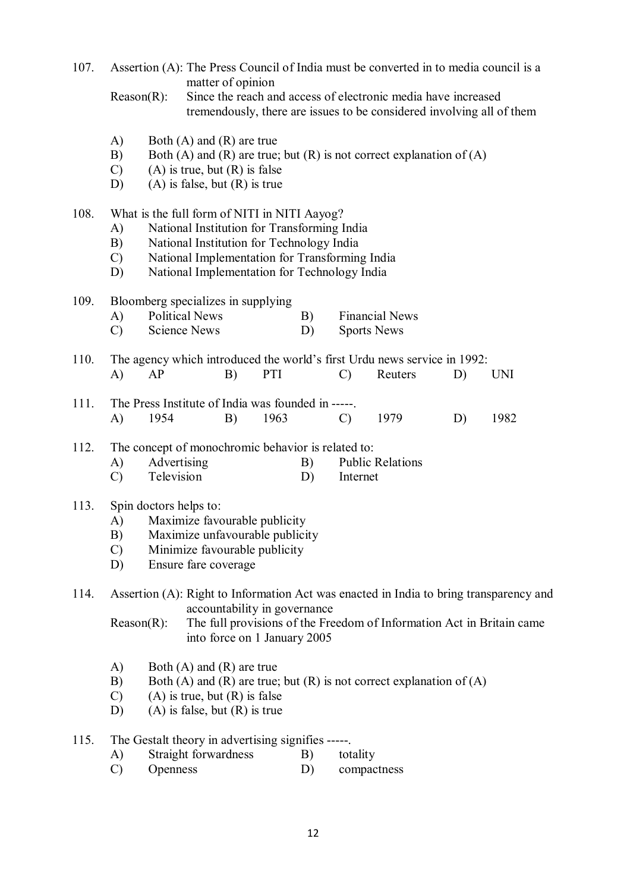107. Assertion (A): The Press Council of India must be converted in to media council is a matter of opinion

- A) Both (A) and (R) are true
- B) Both (A) and (R) are true; but (R) is not correct explanation of (A)
- $(C)$  (A) is true, but  $(R)$  is false
- D) (A) is false, but  $(R)$  is true
- 108. What is the full form of NITI in NITI Aayog?
	- A) National Institution for Transforming India
	- B) National Institution for Technology India
	- C) National Implementation for Transforming India
	- D) National Implementation for Technology India
- 109. Bloomberg specializes in supplying
	- A) Political News B) Financial News C) Science News D) Sports News
- 110. The agency which introduced the world's first Urdu news service in 1992: A) AP B) PTI C) Reuters D) UNI
- 111. The Press Institute of India was founded in -----. A) 1954 B) 1963 C) 1979 D) 1982
- 112. The concept of monochromic behavior is related to:
	- A) Advertising B) Public Relations
	- C) Television D) Internet
- 113. Spin doctors helps to:
	- A) Maximize favourable publicity
	- B) Maximize unfavourable publicity
	- C) Minimize favourable publicity
	- D) Ensure fare coverage
- 114. Assertion (A): Right to Information Act was enacted in India to bring transparency and accountability in governance
	- Reason(R): The full provisions of the Freedom of Information Act in Britain came into force on 1 January 2005
	- A) Both (A) and (R) are true
	- B) Both (A) and (R) are true; but (R) is not correct explanation of (A)
	- $(C)$  (A) is true, but  $(R)$  is false
	- D) (A) is false, but (R) is true
- 115. The Gestalt theory in advertising signifies -----.
	- A) Straight forwardness B) totality
	- C) Openness D) compactness

Reason(R): Since the reach and access of electronic media have increased tremendously, there are issues to be considered involving all of them